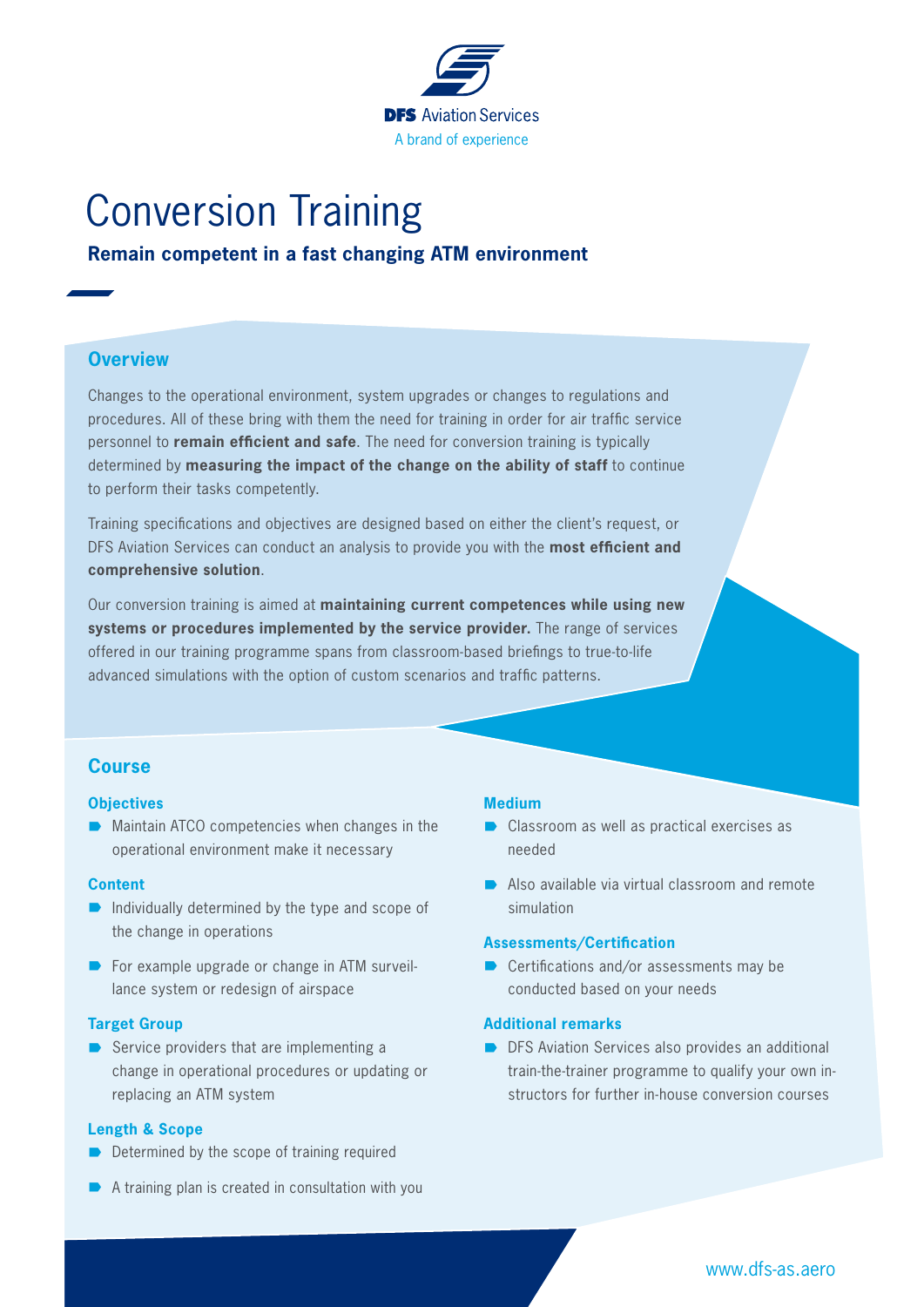

# Conversion Training

# **Remain competent in a fast changing ATM environment**

## **Overview**

Changes to the operational environment, system upgrades or changes to regulations and procedures. All of these bring with them the need for training in order for air traffic service personnel to **remain efficient and safe**. The need for conversion training is typically determined by **measuring the impact of the change on the ability of staff** to continue to perform their tasks competently.

Training specifications and objectives are designed based on either the client's request, or DFS Aviation Services can conduct an analysis to provide you with the **most efficient and comprehensive solution**.

Our conversion training is aimed at **maintaining current competences while using new systems or procedures implemented by the service provider.** The range of services offered in our training programme spans from classroom-based briefings to true-to-life advanced simulations with the option of custom scenarios and traffic patterns.

## **Course**

#### **Objectives**

 $\blacksquare$  Maintain ATCO competencies when changes in the operational environment make it necessary

#### **Content**

- $\blacksquare$  Individually determined by the type and scope of the change in operations
- $\blacksquare$  For example upgrade or change in ATM surveillance system or redesign of airspace

#### **Target Group**

 $\rightarrow$  Service providers that are implementing a change in operational procedures or updating or replacing an ATM system

## **Length & Scope**

- $\blacksquare$  Determined by the scope of training required
- $\blacksquare$  A training plan is created in consultation with you

## **Medium**

- $\blacksquare$  Classroom as well as practical exercises as needed
- $\blacksquare$  Also available via virtual classroom and remote simulation

### **Assessments/Certification**

 $\blacksquare$  Certifications and/or assessments may be conducted based on your needs

#### **Additional remarks**

 $\blacksquare$  DFS Aviation Services also provides an additional train-the-trainer programme to qualify your own instructors for further in-house conversion courses